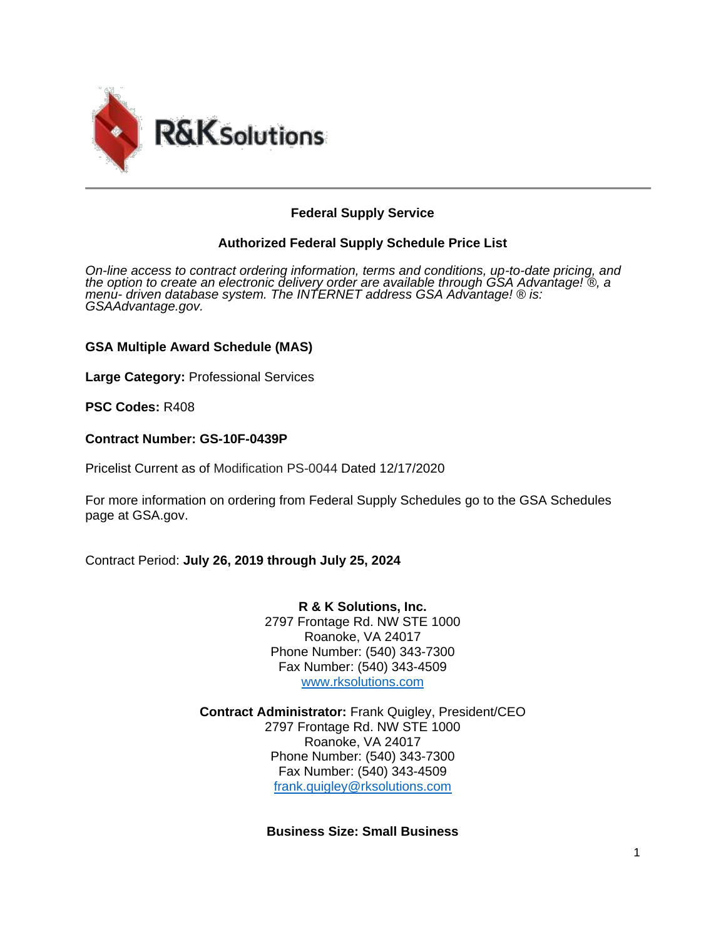

## **Federal Supply Service**

## **Authorized Federal Supply Schedule Price List**

*On-line access to contract ordering information, terms and conditions, up-to-date pricing, and the option to create an electronic delivery order are available through GSA Advantage! ®, a menu- driven database system. The INTERNET address GSA Advantage! ® is: GSAAdvantage.gov.*

### **GSA Multiple Award Schedule (MAS)**

**Large Category:** Professional Services

**PSC Codes:** R408

#### **Contract Number: GS-10F-0439P**

Pricelist Current as of Modification PS-0044 Dated 12/17/2020

For more information on ordering from Federal Supply Schedules go to the GSA Schedules page at GSA.gov.

Contract Period: **July 26, 2019 through July 25, 2024**

**R & K Solutions, Inc.** 2797 Frontage Rd. NW STE 1000 Roanoke, VA 24017 Phone Number: (540) 343-7300 Fax Number: (540) 343-4509 [www.rksolutions.com](http://www.rksolutions.com/)

**Contract Administrator:** Frank Quigley, President/CEO 2797 Frontage Rd. NW STE 1000 Roanoke, VA 24017 Phone Number: (540) 343-7300 Fax Number: (540) 343-4509 [frank.quigley@rksolutions.com](mailto:frank.quigley@rksolutions.com)

### **Business Size: Small Business**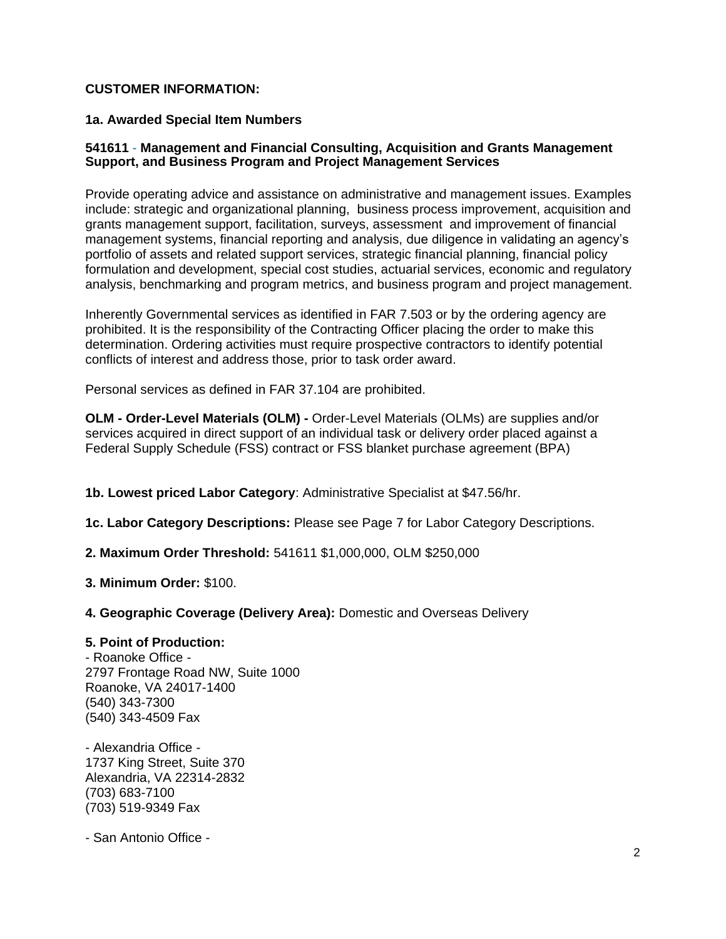### **CUSTOMER INFORMATION:**

#### **1a. Awarded Special Item Numbers**

### **541611** - **Management and Financial Consulting, Acquisition and Grants Management Support, and Business Program and Project Management Services**

Provide operating advice and assistance on administrative and management issues. Examples include: strategic and organizational planning, business process improvement, acquisition and grants management support, facilitation, surveys, assessment and improvement of financial management systems, financial reporting and analysis, due diligence in validating an agency's portfolio of assets and related support services, strategic financial planning, financial policy formulation and development, special cost studies, actuarial services, economic and regulatory analysis, benchmarking and program metrics, and business program and project management.

Inherently Governmental services as identified in FAR 7.503 or by the ordering agency are prohibited. It is the responsibility of the Contracting Officer placing the order to make this determination. Ordering activities must require prospective contractors to identify potential conflicts of interest and address those, prior to task order award.

Personal services as defined in FAR 37.104 are prohibited.

**OLM - Order-Level Materials (OLM) -** Order-Level Materials (OLMs) are supplies and/or services acquired in direct support of an individual task or delivery order placed against a Federal Supply Schedule (FSS) contract or FSS blanket purchase agreement (BPA)

**1b. Lowest priced Labor Category**: Administrative Specialist at \$47.56/hr.

**1c. Labor Category Descriptions:** Please see Page 7 for Labor Category Descriptions.

**2. Maximum Order Threshold:** 541611 \$1,000,000, OLM \$250,000

**3. Minimum Order:** \$100.

**4. Geographic Coverage (Delivery Area):** Domestic and Overseas Delivery

#### **5. Point of Production:**

- Roanoke Office - 2797 Frontage Road NW, Suite 1000 Roanoke, VA 24017-1400 (540) 343-7300 (540) 343-4509 Fax

- Alexandria Office - 1737 King Street, Suite 370 Alexandria, VA 22314-2832 (703) 683-7100 (703) 519-9349 Fax

- San Antonio Office -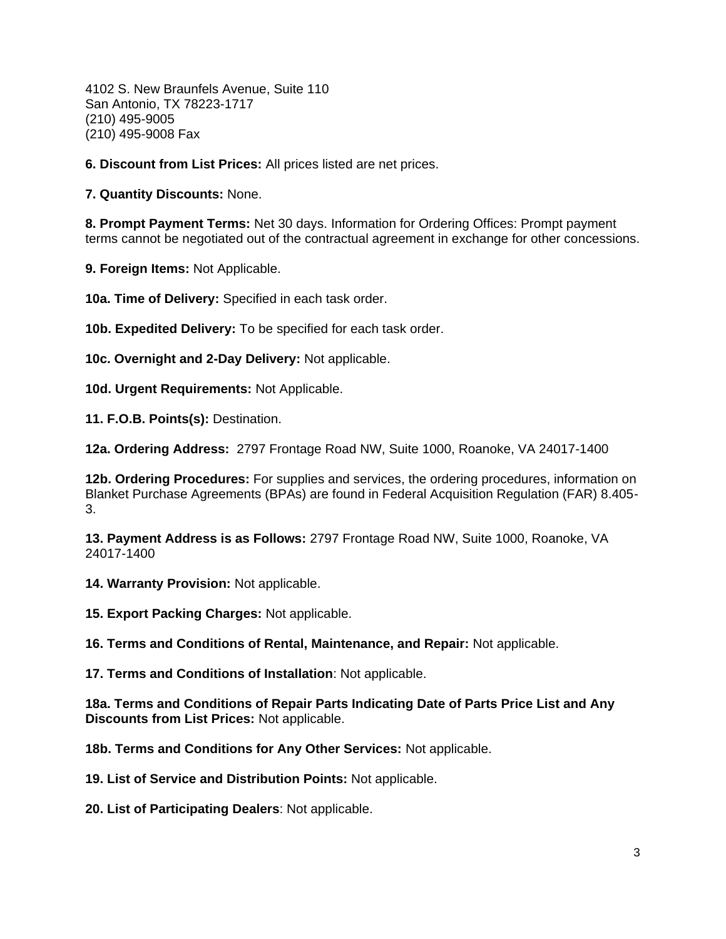4102 S. New Braunfels Avenue, Suite 110 San Antonio, TX 78223-1717 (210) 495-9005 (210) 495-9008 Fax

**6. Discount from List Prices:** All prices listed are net prices.

**7. Quantity Discounts:** None.

**8. Prompt Payment Terms:** Net 30 days. Information for Ordering Offices: Prompt payment terms cannot be negotiated out of the contractual agreement in exchange for other concessions.

**9. Foreign Items:** Not Applicable.

**10a. Time of Delivery:** Specified in each task order.

**10b. Expedited Delivery:** To be specified for each task order.

**10c. Overnight and 2-Day Delivery:** Not applicable.

**10d. Urgent Requirements:** Not Applicable.

**11. F.O.B. Points(s):** Destination.

**12a. Ordering Address:** 2797 Frontage Road NW, Suite 1000, Roanoke, VA 24017-1400

**12b. Ordering Procedures:** For supplies and services, the ordering procedures, information on Blanket Purchase Agreements (BPAs) are found in Federal Acquisition Regulation (FAR) 8.405- 3.

**13. Payment Address is as Follows:** 2797 Frontage Road NW, Suite 1000, Roanoke, VA 24017-1400

**14. Warranty Provision:** Not applicable.

**15. Export Packing Charges:** Not applicable.

**16. Terms and Conditions of Rental, Maintenance, and Repair:** Not applicable.

**17. Terms and Conditions of Installation**: Not applicable.

**18a. Terms and Conditions of Repair Parts Indicating Date of Parts Price List and Any Discounts from List Prices:** Not applicable.

**18b. Terms and Conditions for Any Other Services:** Not applicable.

**19. List of Service and Distribution Points:** Not applicable.

**20. List of Participating Dealers**: Not applicable.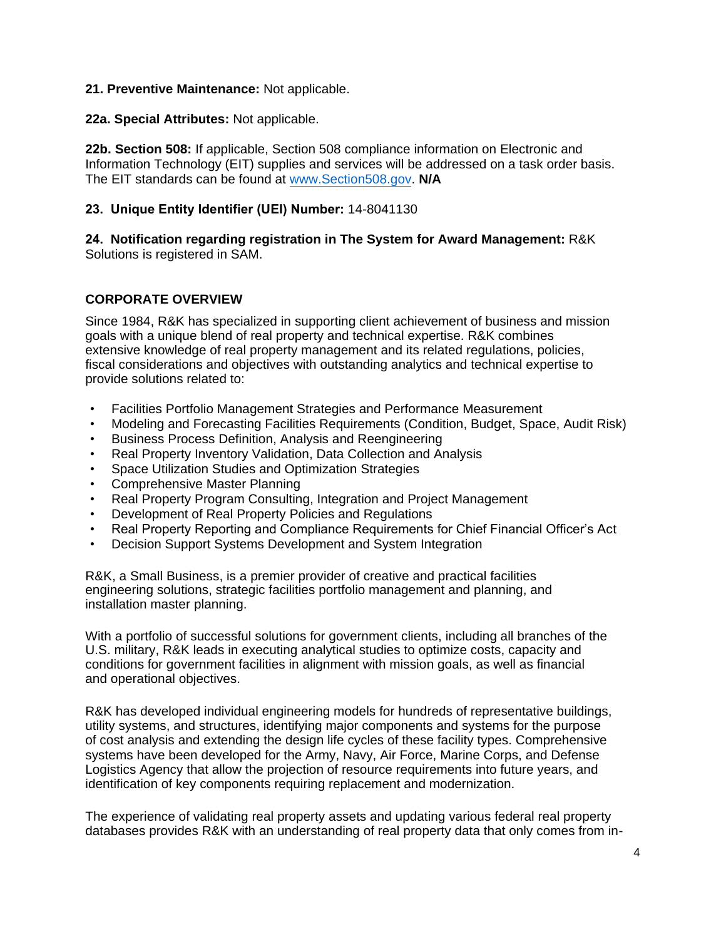### **21. Preventive Maintenance:** Not applicable.

**22a. Special Attributes:** Not applicable.

**22b. Section 508:** If applicable, Section 508 compliance information on Electronic and Information Technology (EIT) supplies and services will be addressed on a task order basis. The EIT standards can be found a[t www.Section508.gov.](http://www.section508.gov/) **N/A**

## **23. Unique Entity Identifier (UEI) Number:** 14-8041130

**24. Notification regarding registration in The System for Award Management:** R&K Solutions is registered in SAM.

## **CORPORATE OVERVIEW**

Since 1984, R&K has specialized in supporting client achievement of business and mission goals with a unique blend of real property and technical expertise. R&K combines extensive knowledge of real property management and its related regulations, policies, fiscal considerations and objectives with outstanding analytics and technical expertise to provide solutions related to:

- Facilities Portfolio Management Strategies and Performance Measurement
- Modeling and Forecasting Facilities Requirements (Condition, Budget, Space, Audit Risk)
- Business Process Definition, Analysis and Reengineering
- Real Property Inventory Validation, Data Collection and Analysis
- Space Utilization Studies and Optimization Strategies
- Comprehensive Master Planning
- Real Property Program Consulting, Integration and Project Management
- Development of Real Property Policies and Regulations
- Real Property Reporting and Compliance Requirements for Chief Financial Officer's Act
- Decision Support Systems Development and System Integration

R&K, a Small Business, is a premier provider of creative and practical facilities engineering solutions, strategic facilities portfolio management and planning, and installation master planning.

With a portfolio of successful solutions for government clients, including all branches of the U.S. military, R&K leads in executing analytical studies to optimize costs, capacity and conditions for government facilities in alignment with mission goals, as well as financial and operational objectives.

R&K has developed individual engineering models for hundreds of representative buildings, utility systems, and structures, identifying major components and systems for the purpose of cost analysis and extending the design life cycles of these facility types. Comprehensive systems have been developed for the Army, Navy, Air Force, Marine Corps, and Defense Logistics Agency that allow the projection of resource requirements into future years, and identification of key components requiring replacement and modernization.

The experience of validating real property assets and updating various federal real property databases provides R&K with an understanding of real property data that only comes from in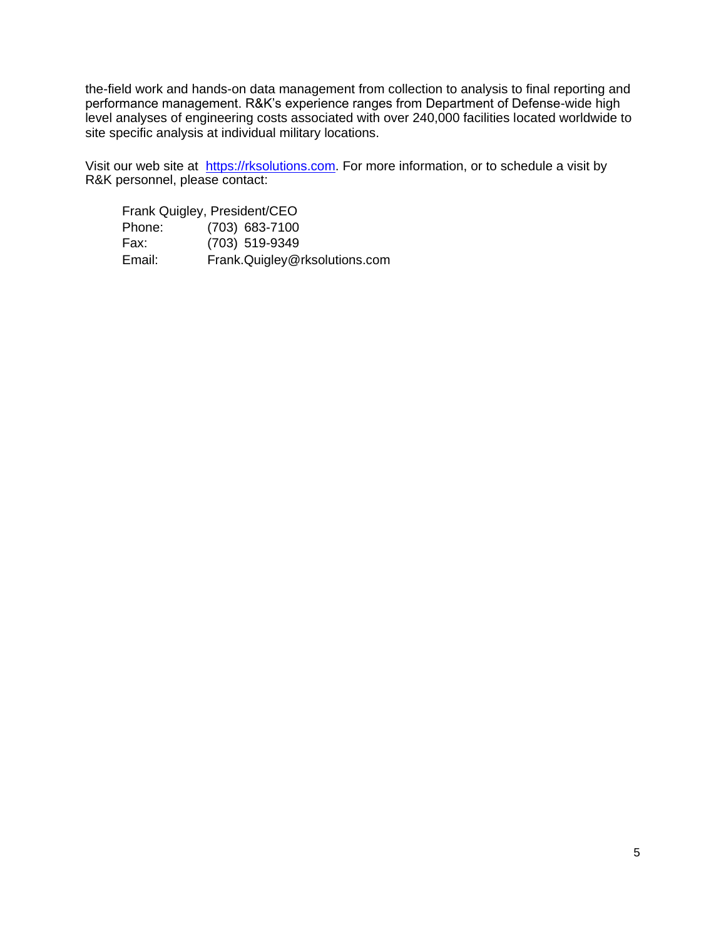the-field work and hands-on data management from collection to analysis to final reporting and performance management. R&K's experience ranges from Department of Defense-wide high level analyses of engineering costs associated with over 240,000 facilities located worldwide to site specific analysis at individual military locations.

Visit our web site at [https://rksolutions.com](https://rksolutions.com/). For more information, or to schedule a visit by R&K personnel, please contact:

| Frank Quigley, President/CEO |                               |
|------------------------------|-------------------------------|
| Phone:                       | $(703)$ 683-7100              |
| Fax:                         | (703) 519-9349                |
| Email:                       | Frank.Quigley@rksolutions.com |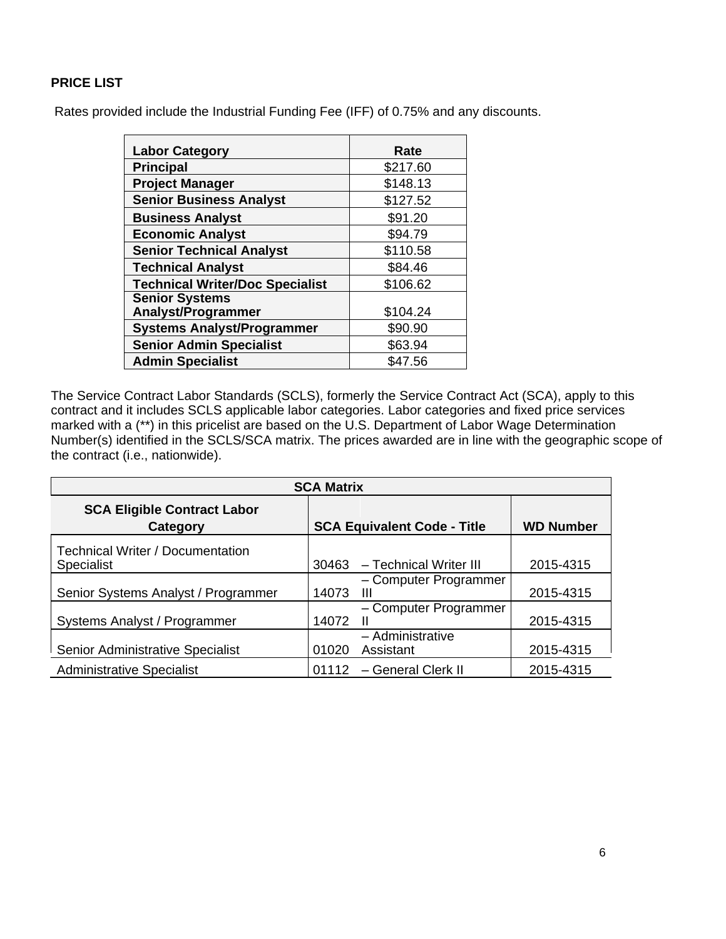# **PRICE LIST**

Rates provided include the Industrial Funding Fee (IFF) of 0.75% and any discounts.

| <b>Labor Category</b>                              | Rate     |
|----------------------------------------------------|----------|
| <b>Principal</b>                                   | \$217.60 |
| <b>Project Manager</b>                             | \$148.13 |
| <b>Senior Business Analyst</b>                     | \$127.52 |
| <b>Business Analyst</b>                            | \$91.20  |
| <b>Economic Analyst</b>                            | \$94.79  |
| <b>Senior Technical Analyst</b>                    | \$110.58 |
| <b>Technical Analyst</b>                           | \$84.46  |
| <b>Technical Writer/Doc Specialist</b>             | \$106.62 |
| <b>Senior Systems</b><br><b>Analyst/Programmer</b> | \$104.24 |
| <b>Systems Analyst/Programmer</b>                  | \$90.90  |
| <b>Senior Admin Specialist</b>                     | \$63.94  |
| <b>Admin Specialist</b>                            | \$47.56  |

The Service Contract Labor Standards (SCLS), formerly the Service Contract Act (SCA), apply to this contract and it includes SCLS applicable labor categories. Labor categories and fixed price services marked with a (\*\*) in this pricelist are based on the U.S. Department of Labor Wage Determination Number(s) identified in the SCLS/SCA matrix. The prices awarded are in line with the geographic scope of the contract (i.e., nationwide).

| <b>SCA Matrix</b>                                            |                                        |                  |
|--------------------------------------------------------------|----------------------------------------|------------------|
| <b>SCA Eligible Contract Labor</b><br>Category               | <b>SCA Equivalent Code - Title</b>     | <b>WD Number</b> |
| <b>Technical Writer / Documentation</b><br><b>Specialist</b> | - Technical Writer III<br>30463        | 2015-4315        |
| Senior Systems Analyst / Programmer                          | - Computer Programmer<br>14073<br>Ш    | 2015-4315        |
| Systems Analyst / Programmer                                 | - Computer Programmer<br>14072<br>Ш    | 2015-4315        |
| Senior Administrative Specialist                             | - Administrative<br>01020<br>Assistant | 2015-4315        |
| <b>Administrative Specialist</b>                             | 01112<br>- General Clerk II            | 2015-4315        |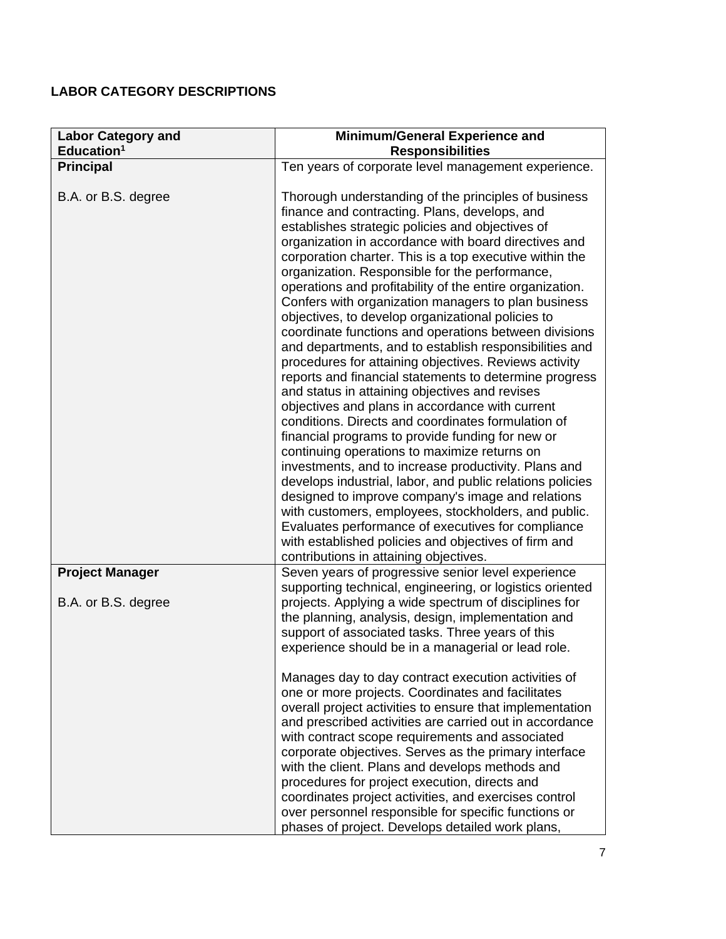# **LABOR CATEGORY DESCRIPTIONS**

| <b>Labor Category and</b> | Minimum/General Experience and                                                                                                                                                                                                                                                                                                                                                                                                                                                                                                                                                                                                                                                                                                                                                                                                                                                                                                                                                                                                                                                                                                                                                                                                                                                                                                                                                                        |
|---------------------------|-------------------------------------------------------------------------------------------------------------------------------------------------------------------------------------------------------------------------------------------------------------------------------------------------------------------------------------------------------------------------------------------------------------------------------------------------------------------------------------------------------------------------------------------------------------------------------------------------------------------------------------------------------------------------------------------------------------------------------------------------------------------------------------------------------------------------------------------------------------------------------------------------------------------------------------------------------------------------------------------------------------------------------------------------------------------------------------------------------------------------------------------------------------------------------------------------------------------------------------------------------------------------------------------------------------------------------------------------------------------------------------------------------|
| Education <sup>1</sup>    | <b>Responsibilities</b>                                                                                                                                                                                                                                                                                                                                                                                                                                                                                                                                                                                                                                                                                                                                                                                                                                                                                                                                                                                                                                                                                                                                                                                                                                                                                                                                                                               |
| <b>Principal</b>          | Ten years of corporate level management experience.                                                                                                                                                                                                                                                                                                                                                                                                                                                                                                                                                                                                                                                                                                                                                                                                                                                                                                                                                                                                                                                                                                                                                                                                                                                                                                                                                   |
| B.A. or B.S. degree       | Thorough understanding of the principles of business<br>finance and contracting. Plans, develops, and<br>establishes strategic policies and objectives of<br>organization in accordance with board directives and<br>corporation charter. This is a top executive within the<br>organization. Responsible for the performance,<br>operations and profitability of the entire organization.<br>Confers with organization managers to plan business<br>objectives, to develop organizational policies to<br>coordinate functions and operations between divisions<br>and departments, and to establish responsibilities and<br>procedures for attaining objectives. Reviews activity<br>reports and financial statements to determine progress<br>and status in attaining objectives and revises<br>objectives and plans in accordance with current<br>conditions. Directs and coordinates formulation of<br>financial programs to provide funding for new or<br>continuing operations to maximize returns on<br>investments, and to increase productivity. Plans and<br>develops industrial, labor, and public relations policies<br>designed to improve company's image and relations<br>with customers, employees, stockholders, and public.<br>Evaluates performance of executives for compliance<br>with established policies and objectives of firm and<br>contributions in attaining objectives. |
| <b>Project Manager</b>    | Seven years of progressive senior level experience<br>supporting technical, engineering, or logistics oriented                                                                                                                                                                                                                                                                                                                                                                                                                                                                                                                                                                                                                                                                                                                                                                                                                                                                                                                                                                                                                                                                                                                                                                                                                                                                                        |
| B.A. or B.S. degree       | projects. Applying a wide spectrum of disciplines for<br>the planning, analysis, design, implementation and<br>support of associated tasks. Three years of this<br>experience should be in a managerial or lead role.<br>Manages day to day contract execution activities of<br>one or more projects. Coordinates and facilitates<br>overall project activities to ensure that implementation<br>and prescribed activities are carried out in accordance<br>with contract scope requirements and associated<br>corporate objectives. Serves as the primary interface<br>with the client. Plans and develops methods and<br>procedures for project execution, directs and<br>coordinates project activities, and exercises control<br>over personnel responsible for specific functions or<br>phases of project. Develops detailed work plans,                                                                                                                                                                                                                                                                                                                                                                                                                                                                                                                                                         |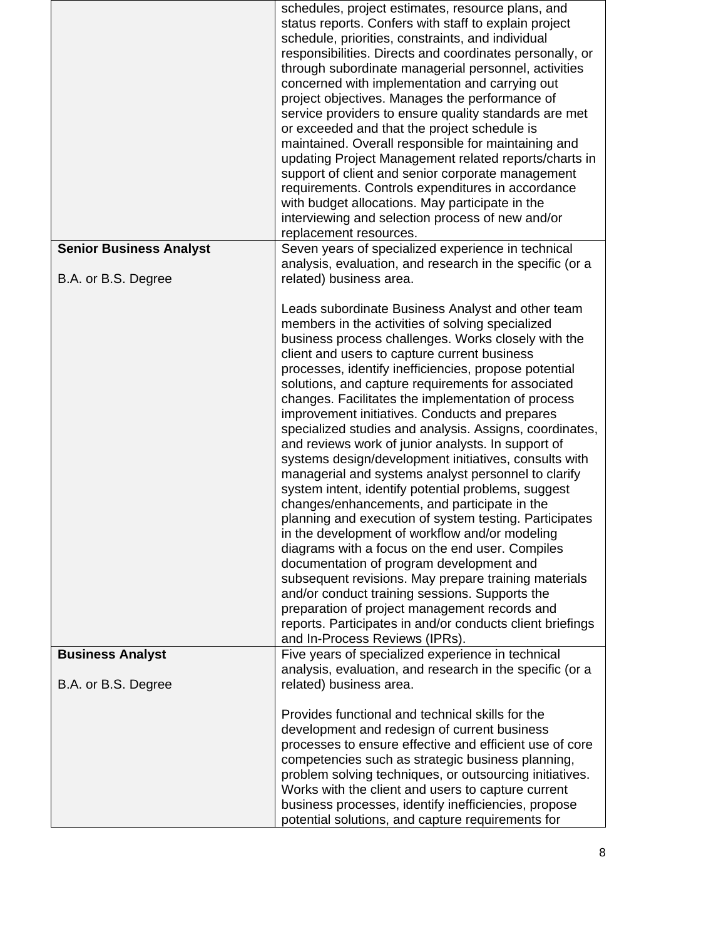|                                                       | schedules, project estimates, resource plans, and<br>status reports. Confers with staff to explain project<br>schedule, priorities, constraints, and individual<br>responsibilities. Directs and coordinates personally, or<br>through subordinate managerial personnel, activities<br>concerned with implementation and carrying out<br>project objectives. Manages the performance of<br>service providers to ensure quality standards are met<br>or exceeded and that the project schedule is<br>maintained. Overall responsible for maintaining and<br>updating Project Management related reports/charts in<br>support of client and senior corporate management<br>requirements. Controls expenditures in accordance<br>with budget allocations. May participate in the<br>interviewing and selection process of new and/or<br>replacement resources.                                                                                                                                                                                                                                                                                                                                                                                      |
|-------------------------------------------------------|--------------------------------------------------------------------------------------------------------------------------------------------------------------------------------------------------------------------------------------------------------------------------------------------------------------------------------------------------------------------------------------------------------------------------------------------------------------------------------------------------------------------------------------------------------------------------------------------------------------------------------------------------------------------------------------------------------------------------------------------------------------------------------------------------------------------------------------------------------------------------------------------------------------------------------------------------------------------------------------------------------------------------------------------------------------------------------------------------------------------------------------------------------------------------------------------------------------------------------------------------|
| <b>Senior Business Analyst</b><br>B.A. or B.S. Degree | Seven years of specialized experience in technical<br>analysis, evaluation, and research in the specific (or a<br>related) business area.                                                                                                                                                                                                                                                                                                                                                                                                                                                                                                                                                                                                                                                                                                                                                                                                                                                                                                                                                                                                                                                                                                        |
|                                                       | Leads subordinate Business Analyst and other team<br>members in the activities of solving specialized<br>business process challenges. Works closely with the<br>client and users to capture current business<br>processes, identify inefficiencies, propose potential<br>solutions, and capture requirements for associated<br>changes. Facilitates the implementation of process<br>improvement initiatives. Conducts and prepares<br>specialized studies and analysis. Assigns, coordinates,<br>and reviews work of junior analysts. In support of<br>systems design/development initiatives, consults with<br>managerial and systems analyst personnel to clarify<br>system intent, identify potential problems, suggest<br>changes/enhancements, and participate in the<br>planning and execution of system testing. Participates<br>in the development of workflow and/or modeling<br>diagrams with a focus on the end user. Compiles<br>documentation of program development and<br>subsequent revisions. May prepare training materials<br>and/or conduct training sessions. Supports the<br>preparation of project management records and<br>reports. Participates in and/or conducts client briefings<br>and In-Process Reviews (IPRs). |
| <b>Business Analyst</b>                               | Five years of specialized experience in technical<br>analysis, evaluation, and research in the specific (or a                                                                                                                                                                                                                                                                                                                                                                                                                                                                                                                                                                                                                                                                                                                                                                                                                                                                                                                                                                                                                                                                                                                                    |
| B.A. or B.S. Degree                                   | related) business area.                                                                                                                                                                                                                                                                                                                                                                                                                                                                                                                                                                                                                                                                                                                                                                                                                                                                                                                                                                                                                                                                                                                                                                                                                          |
|                                                       | Provides functional and technical skills for the<br>development and redesign of current business<br>processes to ensure effective and efficient use of core<br>competencies such as strategic business planning,<br>problem solving techniques, or outsourcing initiatives.<br>Works with the client and users to capture current<br>business processes, identify inefficiencies, propose<br>potential solutions, and capture requirements for                                                                                                                                                                                                                                                                                                                                                                                                                                                                                                                                                                                                                                                                                                                                                                                                   |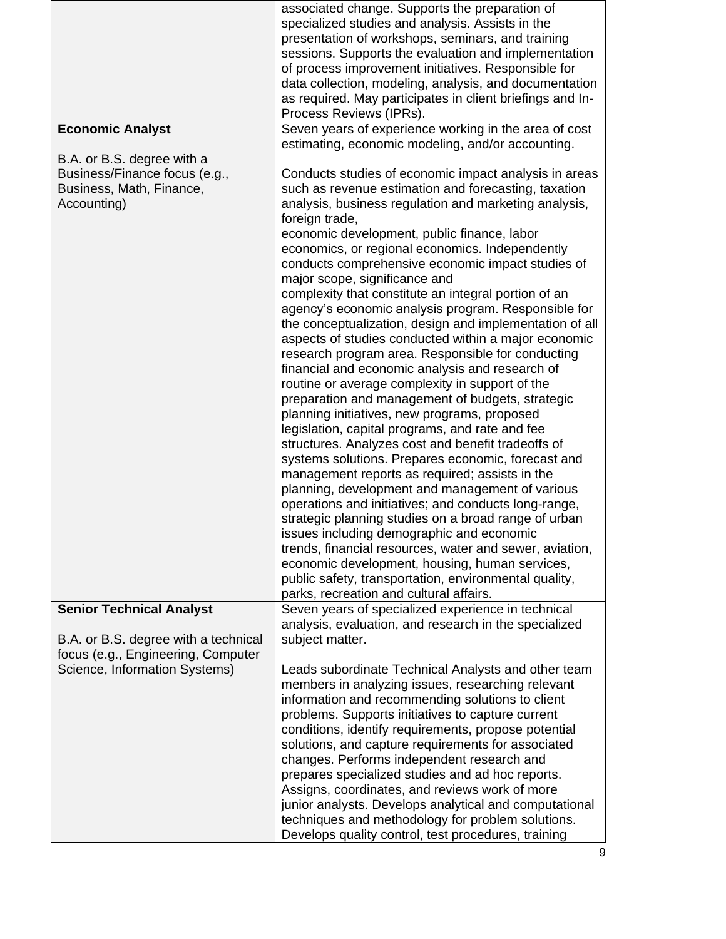|                                      | associated change. Supports the preparation of            |
|--------------------------------------|-----------------------------------------------------------|
|                                      | specialized studies and analysis. Assists in the          |
|                                      | presentation of workshops, seminars, and training         |
|                                      | sessions. Supports the evaluation and implementation      |
|                                      | of process improvement initiatives. Responsible for       |
|                                      | data collection, modeling, analysis, and documentation    |
|                                      | as required. May participates in client briefings and In- |
|                                      | Process Reviews (IPRs).                                   |
| <b>Economic Analyst</b>              | Seven years of experience working in the area of cost     |
|                                      | estimating, economic modeling, and/or accounting.         |
| B.A. or B.S. degree with a           |                                                           |
| Business/Finance focus (e.g.,        | Conducts studies of economic impact analysis in areas     |
| Business, Math, Finance,             | such as revenue estimation and forecasting, taxation      |
| Accounting)                          | analysis, business regulation and marketing analysis,     |
|                                      | foreign trade,                                            |
|                                      | economic development, public finance, labor               |
|                                      | economics, or regional economics. Independently           |
|                                      | conducts comprehensive economic impact studies of         |
|                                      | major scope, significance and                             |
|                                      | complexity that constitute an integral portion of an      |
|                                      | agency's economic analysis program. Responsible for       |
|                                      | the conceptualization, design and implementation of all   |
|                                      | aspects of studies conducted within a major economic      |
|                                      | research program area. Responsible for conducting         |
|                                      | financial and economic analysis and research of           |
|                                      | routine or average complexity in support of the           |
|                                      | preparation and management of budgets, strategic          |
|                                      | planning initiatives, new programs, proposed              |
|                                      | legislation, capital programs, and rate and fee           |
|                                      | structures. Analyzes cost and benefit tradeoffs of        |
|                                      | systems solutions. Prepares economic, forecast and        |
|                                      | management reports as required; assists in the            |
|                                      | planning, development and management of various           |
|                                      | operations and initiatives; and conducts long-range,      |
|                                      | strategic planning studies on a broad range of urban      |
|                                      | issues including demographic and economic                 |
|                                      | trends, financial resources, water and sewer, aviation,   |
|                                      | economic development, housing, human services,            |
|                                      | public safety, transportation, environmental quality,     |
|                                      | parks, recreation and cultural affairs.                   |
| <b>Senior Technical Analyst</b>      | Seven years of specialized experience in technical        |
|                                      | analysis, evaluation, and research in the specialized     |
| B.A. or B.S. degree with a technical | subject matter.                                           |
| focus (e.g., Engineering, Computer   |                                                           |
| Science, Information Systems)        | Leads subordinate Technical Analysts and other team       |
|                                      | members in analyzing issues, researching relevant         |
|                                      | information and recommending solutions to client          |
|                                      | problems. Supports initiatives to capture current         |
|                                      | conditions, identify requirements, propose potential      |
|                                      | solutions, and capture requirements for associated        |
|                                      | changes. Performs independent research and                |
|                                      | prepares specialized studies and ad hoc reports.          |
|                                      | Assigns, coordinates, and reviews work of more            |
|                                      | junior analysts. Develops analytical and computational    |
|                                      | techniques and methodology for problem solutions.         |
|                                      | Develops quality control, test procedures, training       |
|                                      |                                                           |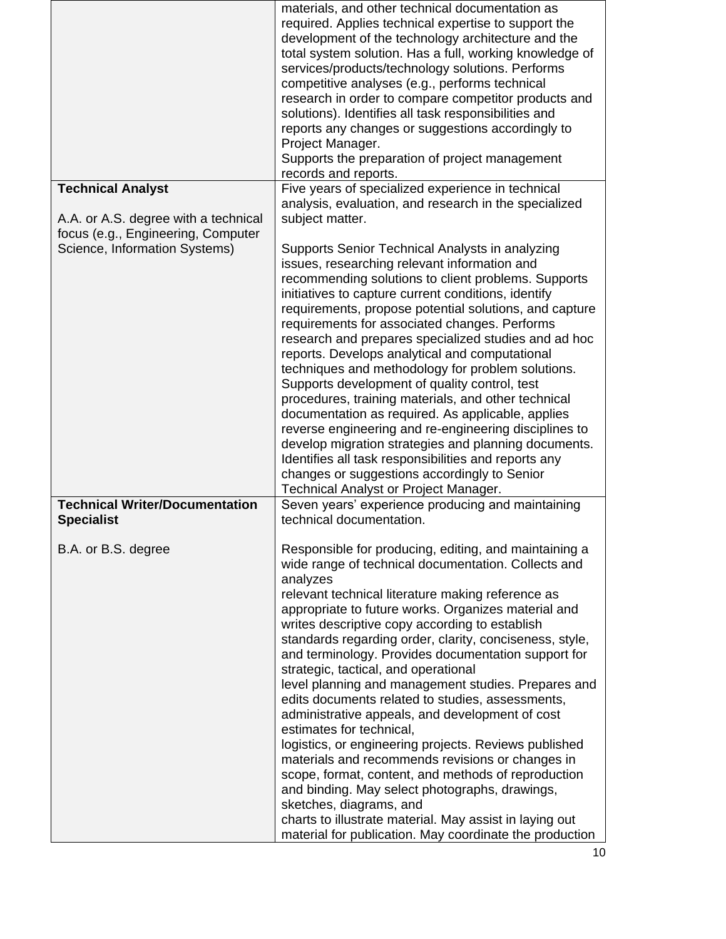|                                                                                                                                         | materials, and other technical documentation as<br>required. Applies technical expertise to support the<br>development of the technology architecture and the<br>total system solution. Has a full, working knowledge of<br>services/products/technology solutions. Performs<br>competitive analyses (e.g., performs technical                                                                                                                                                                                                                                                                                                                                                                                                                                                                                                                                                                                                                                                                                    |
|-----------------------------------------------------------------------------------------------------------------------------------------|-------------------------------------------------------------------------------------------------------------------------------------------------------------------------------------------------------------------------------------------------------------------------------------------------------------------------------------------------------------------------------------------------------------------------------------------------------------------------------------------------------------------------------------------------------------------------------------------------------------------------------------------------------------------------------------------------------------------------------------------------------------------------------------------------------------------------------------------------------------------------------------------------------------------------------------------------------------------------------------------------------------------|
|                                                                                                                                         | research in order to compare competitor products and<br>solutions). Identifies all task responsibilities and<br>reports any changes or suggestions accordingly to<br>Project Manager.<br>Supports the preparation of project management                                                                                                                                                                                                                                                                                                                                                                                                                                                                                                                                                                                                                                                                                                                                                                           |
|                                                                                                                                         | records and reports.                                                                                                                                                                                                                                                                                                                                                                                                                                                                                                                                                                                                                                                                                                                                                                                                                                                                                                                                                                                              |
| <b>Technical Analyst</b><br>A.A. or A.S. degree with a technical<br>focus (e.g., Engineering, Computer<br>Science, Information Systems) | Five years of specialized experience in technical<br>analysis, evaluation, and research in the specialized<br>subject matter.<br>Supports Senior Technical Analysts in analyzing<br>issues, researching relevant information and<br>recommending solutions to client problems. Supports<br>initiatives to capture current conditions, identify<br>requirements, propose potential solutions, and capture<br>requirements for associated changes. Performs<br>research and prepares specialized studies and ad hoc<br>reports. Develops analytical and computational<br>techniques and methodology for problem solutions.<br>Supports development of quality control, test<br>procedures, training materials, and other technical<br>documentation as required. As applicable, applies<br>reverse engineering and re-engineering disciplines to<br>develop migration strategies and planning documents.<br>Identifies all task responsibilities and reports any<br>changes or suggestions accordingly to Senior    |
| <b>Technical Writer/Documentation</b><br><b>Specialist</b>                                                                              | Technical Analyst or Project Manager.<br>Seven years' experience producing and maintaining<br>technical documentation.                                                                                                                                                                                                                                                                                                                                                                                                                                                                                                                                                                                                                                                                                                                                                                                                                                                                                            |
| B.A. or B.S. degree                                                                                                                     | Responsible for producing, editing, and maintaining a<br>wide range of technical documentation. Collects and<br>analyzes<br>relevant technical literature making reference as<br>appropriate to future works. Organizes material and<br>writes descriptive copy according to establish<br>standards regarding order, clarity, conciseness, style,<br>and terminology. Provides documentation support for<br>strategic, tactical, and operational<br>level planning and management studies. Prepares and<br>edits documents related to studies, assessments,<br>administrative appeals, and development of cost<br>estimates for technical,<br>logistics, or engineering projects. Reviews published<br>materials and recommends revisions or changes in<br>scope, format, content, and methods of reproduction<br>and binding. May select photographs, drawings,<br>sketches, diagrams, and<br>charts to illustrate material. May assist in laying out<br>material for publication. May coordinate the production |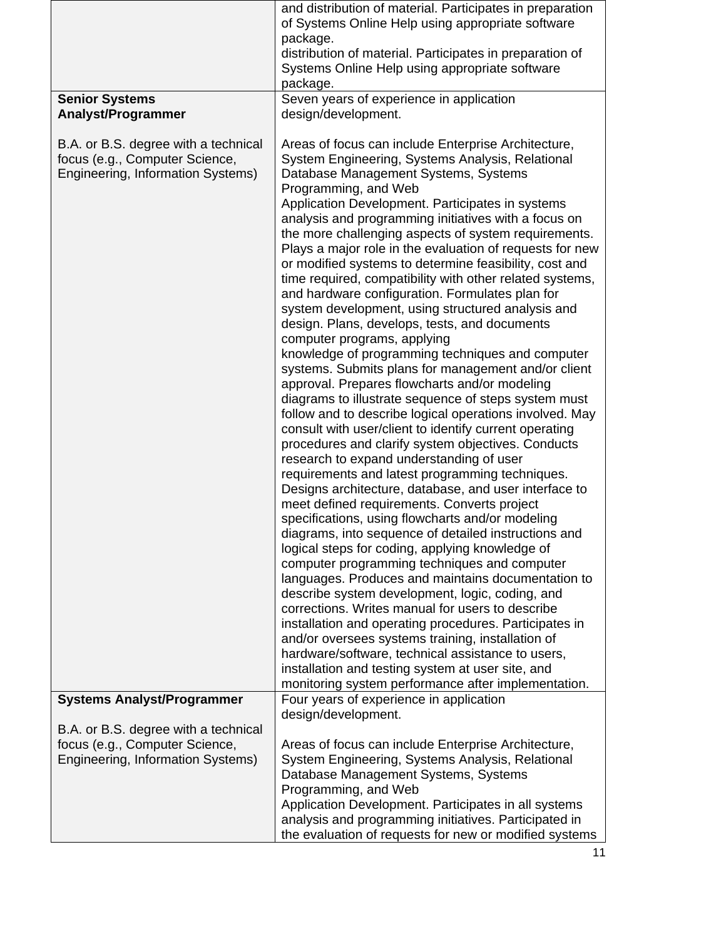|                                                    | and distribution of material. Participates in preparation                                                   |
|----------------------------------------------------|-------------------------------------------------------------------------------------------------------------|
|                                                    | of Systems Online Help using appropriate software                                                           |
|                                                    | package.                                                                                                    |
|                                                    | distribution of material. Participates in preparation of                                                    |
|                                                    | Systems Online Help using appropriate software                                                              |
|                                                    | package.                                                                                                    |
| <b>Senior Systems</b><br><b>Analyst/Programmer</b> | Seven years of experience in application<br>design/development.                                             |
|                                                    |                                                                                                             |
| B.A. or B.S. degree with a technical               | Areas of focus can include Enterprise Architecture,                                                         |
| focus (e.g., Computer Science,                     | System Engineering, Systems Analysis, Relational                                                            |
| Engineering, Information Systems)                  | Database Management Systems, Systems                                                                        |
|                                                    | Programming, and Web                                                                                        |
|                                                    | Application Development. Participates in systems                                                            |
|                                                    | analysis and programming initiatives with a focus on                                                        |
|                                                    | the more challenging aspects of system requirements.                                                        |
|                                                    | Plays a major role in the evaluation of requests for new                                                    |
|                                                    | or modified systems to determine feasibility, cost and                                                      |
|                                                    | time required, compatibility with other related systems,<br>and hardware configuration. Formulates plan for |
|                                                    | system development, using structured analysis and                                                           |
|                                                    | design. Plans, develops, tests, and documents                                                               |
|                                                    | computer programs, applying                                                                                 |
|                                                    | knowledge of programming techniques and computer                                                            |
|                                                    | systems. Submits plans for management and/or client                                                         |
|                                                    | approval. Prepares flowcharts and/or modeling                                                               |
|                                                    | diagrams to illustrate sequence of steps system must                                                        |
|                                                    | follow and to describe logical operations involved. May                                                     |
|                                                    | consult with user/client to identify current operating                                                      |
|                                                    | procedures and clarify system objectives. Conducts<br>research to expand understanding of user              |
|                                                    | requirements and latest programming techniques.                                                             |
|                                                    | Designs architecture, database, and user interface to                                                       |
|                                                    | meet defined requirements. Converts project                                                                 |
|                                                    | specifications, using flowcharts and/or modeling                                                            |
|                                                    | diagrams, into sequence of detailed instructions and                                                        |
|                                                    | logical steps for coding, applying knowledge of                                                             |
|                                                    | computer programming techniques and computer                                                                |
|                                                    | languages. Produces and maintains documentation to                                                          |
|                                                    | describe system development, logic, coding, and<br>corrections. Writes manual for users to describe         |
|                                                    | installation and operating procedures. Participates in                                                      |
|                                                    | and/or oversees systems training, installation of                                                           |
|                                                    | hardware/software, technical assistance to users,                                                           |
|                                                    | installation and testing system at user site, and                                                           |
|                                                    | monitoring system performance after implementation.                                                         |
| <b>Systems Analyst/Programmer</b>                  | Four years of experience in application                                                                     |
|                                                    | design/development.                                                                                         |
| B.A. or B.S. degree with a technical               |                                                                                                             |
| focus (e.g., Computer Science,                     | Areas of focus can include Enterprise Architecture,                                                         |
| Engineering, Information Systems)                  | System Engineering, Systems Analysis, Relational                                                            |
|                                                    | Database Management Systems, Systems                                                                        |
|                                                    | Programming, and Web<br>Application Development. Participates in all systems                                |
|                                                    | analysis and programming initiatives. Participated in                                                       |
|                                                    | the evaluation of requests for new or modified systems                                                      |
|                                                    |                                                                                                             |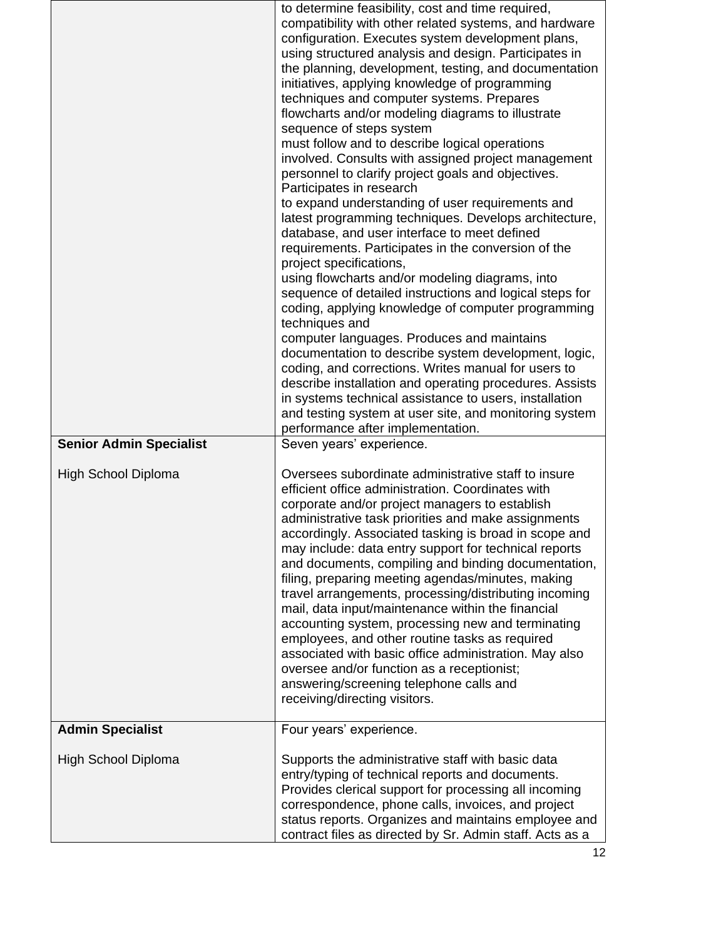| <b>Senior Admin Specialist</b><br><b>High School Diploma</b> | to determine feasibility, cost and time required,<br>compatibility with other related systems, and hardware<br>configuration. Executes system development plans,<br>using structured analysis and design. Participates in<br>the planning, development, testing, and documentation<br>initiatives, applying knowledge of programming<br>techniques and computer systems. Prepares<br>flowcharts and/or modeling diagrams to illustrate<br>sequence of steps system<br>must follow and to describe logical operations<br>involved. Consults with assigned project management<br>personnel to clarify project goals and objectives.<br>Participates in research<br>to expand understanding of user requirements and<br>latest programming techniques. Develops architecture,<br>database, and user interface to meet defined<br>requirements. Participates in the conversion of the<br>project specifications,<br>using flowcharts and/or modeling diagrams, into<br>sequence of detailed instructions and logical steps for<br>coding, applying knowledge of computer programming<br>techniques and<br>computer languages. Produces and maintains<br>documentation to describe system development, logic,<br>coding, and corrections. Writes manual for users to<br>describe installation and operating procedures. Assists<br>in systems technical assistance to users, installation<br>and testing system at user site, and monitoring system<br>performance after implementation.<br>Seven years' experience.<br>Oversees subordinate administrative staff to insure<br>efficient office administration. Coordinates with<br>corporate and/or project managers to establish<br>administrative task priorities and make assignments<br>accordingly. Associated tasking is broad in scope and<br>may include: data entry support for technical reports<br>and documents, compiling and binding documentation,<br>filing, preparing meeting agendas/minutes, making |
|--------------------------------------------------------------|--------------------------------------------------------------------------------------------------------------------------------------------------------------------------------------------------------------------------------------------------------------------------------------------------------------------------------------------------------------------------------------------------------------------------------------------------------------------------------------------------------------------------------------------------------------------------------------------------------------------------------------------------------------------------------------------------------------------------------------------------------------------------------------------------------------------------------------------------------------------------------------------------------------------------------------------------------------------------------------------------------------------------------------------------------------------------------------------------------------------------------------------------------------------------------------------------------------------------------------------------------------------------------------------------------------------------------------------------------------------------------------------------------------------------------------------------------------------------------------------------------------------------------------------------------------------------------------------------------------------------------------------------------------------------------------------------------------------------------------------------------------------------------------------------------------------------------------------------------------------------------------------------------------------------------------------------------------------|
|                                                              | travel arrangements, processing/distributing incoming<br>mail, data input/maintenance within the financial<br>accounting system, processing new and terminating<br>employees, and other routine tasks as required<br>associated with basic office administration. May also<br>oversee and/or function as a receptionist;<br>answering/screening telephone calls and<br>receiving/directing visitors.                                                                                                                                                                                                                                                                                                                                                                                                                                                                                                                                                                                                                                                                                                                                                                                                                                                                                                                                                                                                                                                                                                                                                                                                                                                                                                                                                                                                                                                                                                                                                               |
| <b>Admin Specialist</b>                                      | Four years' experience.                                                                                                                                                                                                                                                                                                                                                                                                                                                                                                                                                                                                                                                                                                                                                                                                                                                                                                                                                                                                                                                                                                                                                                                                                                                                                                                                                                                                                                                                                                                                                                                                                                                                                                                                                                                                                                                                                                                                            |
| High School Diploma                                          | Supports the administrative staff with basic data<br>entry/typing of technical reports and documents.<br>Provides clerical support for processing all incoming<br>correspondence, phone calls, invoices, and project<br>status reports. Organizes and maintains employee and<br>contract files as directed by Sr. Admin staff. Acts as a                                                                                                                                                                                                                                                                                                                                                                                                                                                                                                                                                                                                                                                                                                                                                                                                                                                                                                                                                                                                                                                                                                                                                                                                                                                                                                                                                                                                                                                                                                                                                                                                                           |